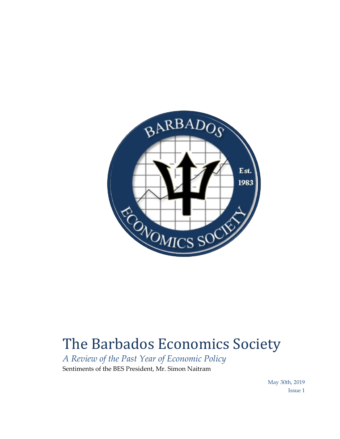

## The Barbados Economics Society

*A Review of the Past Year of Economic Policy* Sentiments of the BES President, Mr. Simon Naitram

> May 30th, 2019 Issue 1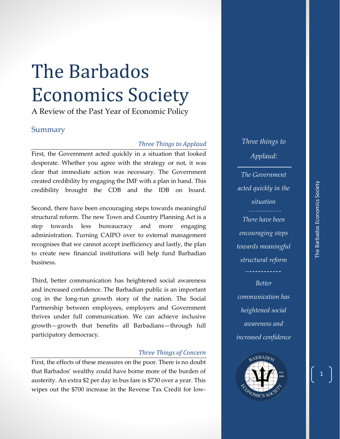# The Barbados Economics Society

A Review of the Past Year of Economic Policy

### Summary

#### *Three Things to Applaud*

First, the Government acted quickly in a situation that looked desperate. Whether you agree with the strategy or not, it was clear that immediate action was necessary. The Government created credibility by engaging the IMF with a plan in hand. This credibility brought the CDB and the IDB on board.

Second, there have been encouraging steps towards meaningful structural reform. The new Town and Country Planning Act is a step towards less bureaucracy and more engaging administration. Turning CAIPO over to external management recognises that we cannot accept inefficiency and lastly, the plan to create new financial institutions will help fund Barbadian business.

Third, better communication has heightened social awareness and increased confidence. The Barbadian public is an important cog in the long-run growth story of the nation. The Social Partnership between employees, employers and Government thrives under full communication. We can achieve inclusive growth—growth that benefits all Barbadians—through full participatory democracy.

#### *Three Things of Concern*

First, the effects of these measures on the poor. There is no doubt that Barbados' wealthy could have borne more of the burden of austerity. An extra \$2 per day in bus fare is \$730 over a year. This wipes out the \$700 increase in the Reverse Tax Credit for low*Three things to Applaud:*

*The Government acted quickly in the situation There have been encouraging steps towards meaningful structural reform*

*Better communication has heightened social awareness and increased confidence*

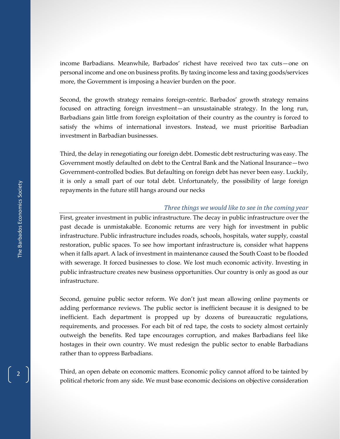income Barbadians. Meanwhile, Barbados' richest have received two tax cuts—one on personal income and one on business profits. By taxing income less and taxing goods/services more, the Government is imposing a heavier burden on the poor.

Second, the growth strategy remains foreign-centric. Barbados' growth strategy remains focused on attracting foreign investment—an unsustainable strategy. In the long run, Barbadians gain little from foreign exploitation of their country as the country is forced to satisfy the whims of international investors. Instead, we must prioritise Barbadian investment in Barbadian businesses.

Third, the delay in renegotiating our foreign debt. Domestic debt restructuring was easy. The Government mostly defaulted on debt to the Central Bank and the National Insurance—two Government-controlled bodies. But defaulting on foreign debt has never been easy. Luckily, it is only a small part of our total debt. Unfortunately, the possibility of large foreign repayments in the future still hangs around our necks

#### *Three things we would like to see in the coming year*

First, greater investment in public infrastructure. The decay in public infrastructure over the past decade is unmistakable. Economic returns are very high for investment in public infrastructure. Public infrastructure includes roads, schools, hospitals, water supply, coastal restoration, public spaces. To see how important infrastructure is, consider what happens when it falls apart. A lack of investment in maintenance caused the South Coast to be flooded with sewerage. It forced businesses to close. We lost much economic activity. Investing in public infrastructure creates new business opportunities. Our country is only as good as our infrastructure.

Second, genuine public sector reform. We don't just mean allowing online payments or adding performance reviews. The public sector is inefficient because it is designed to be inefficient. Each department is propped up by dozens of bureaucratic regulations, requirements, and processes. For each bit of red tape, the costs to society almost certainly outweigh the benefits. Red tape encourages corruption, and makes Barbadians feel like hostages in their own country. We must redesign the public sector to enable Barbadians rather than to oppress Barbadians.

Third, an open debate on economic matters. Economic policy cannot afford to be tainted by political rhetoric from any side. We must base economic decisions on objective consideration